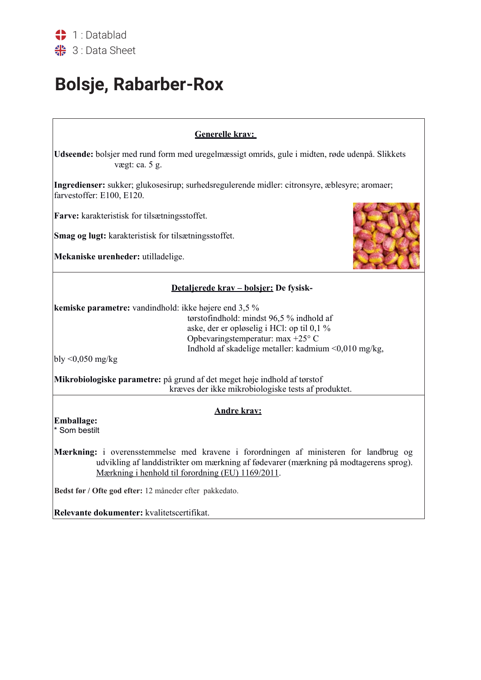## **Bolsje, Rabarber-Rox**

## **Generelle krav:**

**Udseende:** bolsjer med rund form med uregelmæssigt omrids, gule i midten, røde udenpå. Slikkets vægt: ca. 5 g.

**Ingredienser:** sukker; glukosesirup; surhedsregulerende midler: citronsyre, æblesyre; aromaer; farvestoffer: E100, E120.

**Farve:** karakteristisk for tilsætningsstoffet.

**Smag og lugt:** karakteristisk for tilsætningsstoffet.

**Mekaniske urenheder:** utilladelige.



## **Detaljerede krav – bolsjer: De fysisk-**

**kemiske parametre:** vandindhold: ikke højere end 3,5 %

tørstofindhold: mindst 96,5 % indhold af aske, der er opløselig i HCl: op til 0,1 % Opbevaringstemperatur: max +25° C Indhold af skadelige metaller: kadmium <0,010 mg/kg,

bly <0,050 mg/kg

**Mikrobiologiske parametre:** på grund af det meget høje indhold af tørstof kræves der ikke mikrobiologiske tests af produktet.

## **Andre krav:**

**Emballage:**

\* Som bestilt

**Mærkning:** i overensstemmelse med kravene i forordningen af ministeren for landbrug og udvikling af landdistrikter om mærkning af fødevarer (mærkning på modtagerens sprog). Mærkning i henhold til forordning (EU) 1169/2011.

Bedst før / Ofte god efter: 12 måneder efter pakkedato.

**Relevante dokumenter:** kvalitetscertifikat.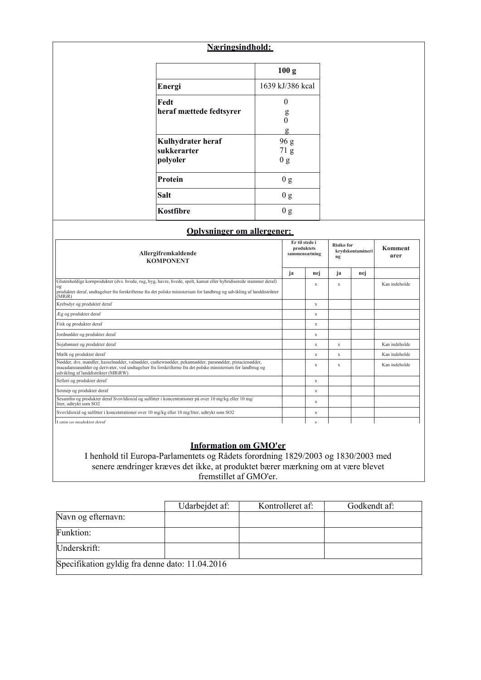## **Næringsindhold:**

|                                  | 100 <sub>g</sub>        |
|----------------------------------|-------------------------|
| Energi                           | 1639 kJ/386 kcal        |
| Fedt<br>heraf mættede fedtsyrer  | 0<br>g                  |
|                                  | 0<br>g                  |
| Kulhydrater heraf<br>sukkerarter | 96 g<br>71 <sub>g</sub> |
| polyoler                         | 0 g                     |
| <b>Protein</b>                   | 0 <sub>g</sub>          |
| Salt                             | 0 g                     |
| Kostfibre                        | Ս Զ                     |

### **Oplysninger om allergener:**

| Allergifremkaldende<br><b>KOMPONENT</b>                                                                                                                                                                                                                    |    | Er til stede i<br>produktets<br>sammensætning |    | <b>Risiko for</b><br>krydskontamineri | Komment<br>arer |
|------------------------------------------------------------------------------------------------------------------------------------------------------------------------------------------------------------------------------------------------------------|----|-----------------------------------------------|----|---------------------------------------|-----------------|
|                                                                                                                                                                                                                                                            | ja | nej                                           | ja | nej                                   |                 |
| Glutenholdige kornprodukter (dvs. hvede, rug, byg, havre, hvede, spelt, kamut eller hybridiserede stammer deraf)<br>og                                                                                                                                     |    | X                                             | X  |                                       | Kan indeholde   |
| produkter deraf, undtagelser fra forskrifterne fra det polske ministerium for landbrug og udvikling af landdistrikter<br>(MRiR)                                                                                                                            |    |                                               |    |                                       |                 |
| Krebsdyr og produkter deraf                                                                                                                                                                                                                                |    | X                                             |    |                                       |                 |
| Æg og produkter deraf                                                                                                                                                                                                                                      |    | X                                             |    |                                       |                 |
| Fisk og produkter deraf                                                                                                                                                                                                                                    |    | X                                             |    |                                       |                 |
| Jordnødder og produkter deraf                                                                                                                                                                                                                              |    | X                                             |    |                                       |                 |
| Sojabønner og produkter deraf                                                                                                                                                                                                                              |    | X                                             | X  |                                       | Kan indeholde   |
| Mælk og produkter deraf                                                                                                                                                                                                                                    |    | X                                             | X  |                                       | Kan indeholde   |
| Nødder, dvs. mandler, hasselnødder, valnødder, cashewnødder, pekannødder, paranødder, pistacienødder,<br>macadamianødder og derivater, ved undtagelser fra forskrifterne fra det polske ministerium for landbrug og<br>udvikling af landdistrikter (MRiRW) |    | X                                             | X  |                                       | Kan indeholde   |
| Selleri og produkter deraf                                                                                                                                                                                                                                 |    | X                                             |    |                                       |                 |
| Sennep og produkter deraf                                                                                                                                                                                                                                  |    | $\mathbf x$                                   |    |                                       |                 |
| Sesamfrø og produkter deraf Svovldioxid og sulfitter i koncentrationer på over 10 mg/kg eller 10 mg/<br>liter, udtrykt som SO2                                                                                                                             |    | X                                             |    |                                       |                 |
| Svovldioxid og sulfitter i koncentrationer over 10 mg/kg eller 10 mg/liter, udtrykt som SO2                                                                                                                                                                |    | X                                             |    |                                       |                 |
| Lunin og produkter deraf                                                                                                                                                                                                                                   |    | X                                             |    |                                       |                 |

### **Information om GMO'er**

I henhold til Europa-Parlamentets og Rådets forordning 1829/2003 og 1830/2003 med senere ændringer kræves det ikke, at produktet bærer mærkning om at være blevet fremstillet af GMO'er.

|                                                 | Udarbejdet af: | Kontrolleret af: | Godkendt af: |  |  |
|-------------------------------------------------|----------------|------------------|--------------|--|--|
| Navn og efternavn:                              |                |                  |              |  |  |
| Funktion:                                       |                |                  |              |  |  |
| Underskrift:                                    |                |                  |              |  |  |
| Specifikation gyldig fra denne dato: 11.04.2016 |                |                  |              |  |  |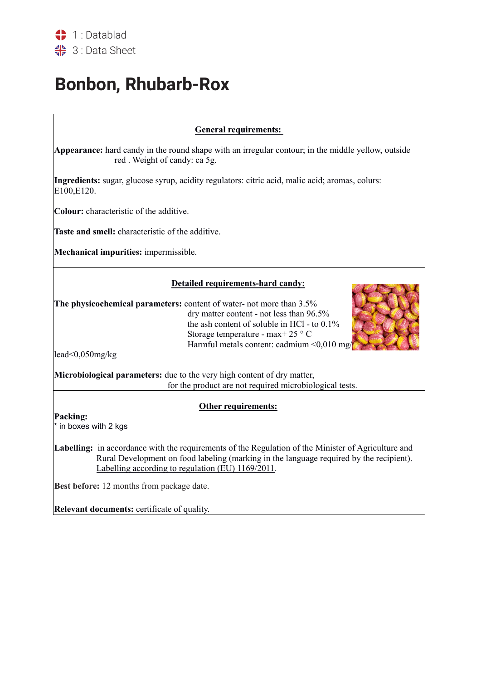# **Bonbon, Rhubarb-Rox**

## **General requirements:**

**Appearance:** hard candy in the round shape with an irregular contour; in the middle yellow, outside red . Weight of candy: ca 5g.

**Ingredients:** sugar, glucose syrup, acidity regulators: citric acid, malic acid; aromas, colurs: E100,E120.

**Colour:** characteristic of the additive.

**Taste and smell:** characteristic of the additive.

**Mechanical impurities:** impermissible.

## **Detailed requirements-hard candy:**

**The physicochemical parameters:** content of water- not more than 3.5% dry matter content - not less than 96.5% the ash content of soluble in HCl - to 0.1% Storage temperature - max+ 25 ° C Harmful metals content: cadmium  $\leq 0.010$  mg



lead<0,050mg/kg

**Microbiological parameters:** due to the very high content of dry matter, for the product are not required microbiological tests.

## **Other requirements:**

**Packing:** 

\* in boxes with 2 kgs

Labelling: in accordance with the requirements of the Regulation of the Minister of Agriculture and Rural Development on food labeling (marking in the language required by the recipient). Labelling according to regulation (EU) 1169/2011.

**Best before:** 12 months from package date.

**Relevant documents:** certificate of quality.